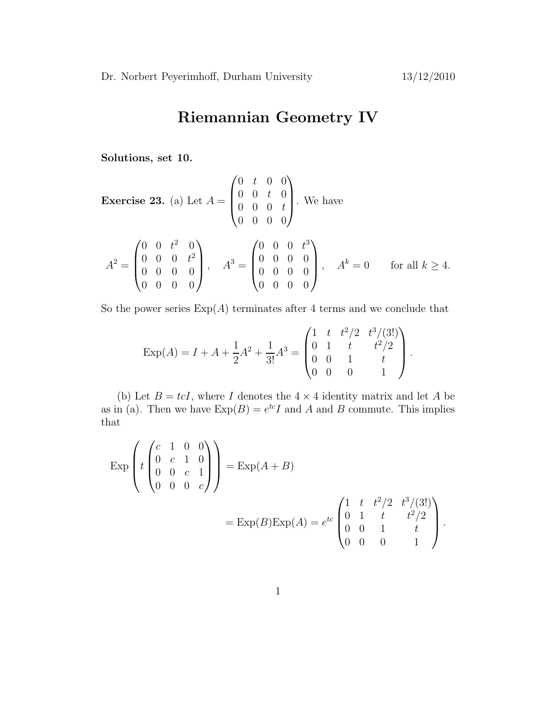## Riemannian Geometry IV

Solutions, set 10.

**Exercise 23.** (a) Let 
$$
A = \begin{pmatrix} 0 & t & 0 & 0 \\ 0 & 0 & t & 0 \\ 0 & 0 & 0 & t \\ 0 & 0 & 0 & 0 \end{pmatrix}
$$
. We have  
\n
$$
A^{2} = \begin{pmatrix} 0 & 0 & t^{2} & 0 \\ 0 & 0 & 0 & t^{2} \\ 0 & 0 & 0 & 0 \\ 0 & 0 & 0 & 0 \end{pmatrix}, \quad A^{3} = \begin{pmatrix} 0 & 0 & 0 & t^{3} \\ 0 & 0 & 0 & 0 \\ 0 & 0 & 0 & 0 \\ 0 & 0 & 0 & 0 \end{pmatrix}, \quad A^{k} = 0 \quad \text{for all } k \ge 4.
$$

So the power series  $Exp(A)$  terminates after 4 terms and we conclude that

$$
\operatorname{Exp}(A) = I + A + \frac{1}{2}A^2 + \frac{1}{3!}A^3 = \begin{pmatrix} 1 & t & t^2/2 & t^3/(3!) \\ 0 & 1 & t & t^2/2 \\ 0 & 0 & 1 & t \\ 0 & 0 & 0 & 1 \end{pmatrix}.
$$

(b) Let  $B = tcI$ , where I denotes the  $4 \times 4$  identity matrix and let A be as in (a). Then we have  $Exp(B) = e^{tc}I$  and A and B commute. This implies that

$$
\begin{aligned} \exp\left(t \begin{pmatrix} c & 1 & 0 & 0 \\ 0 & c & 1 & 0 \\ 0 & 0 & c & 1 \\ 0 & 0 & 0 & c \end{pmatrix}\right) &= \exp(A+B) \\ &= \exp(B)\exp(A) = e^{tc} \begin{pmatrix} 1 & t & t^2/2 & t^3/(3!) \\ 0 & 1 & t & t^2/2 \\ 0 & 0 & 1 & t \\ 0 & 0 & 0 & 1 \end{pmatrix}. \end{aligned}
$$